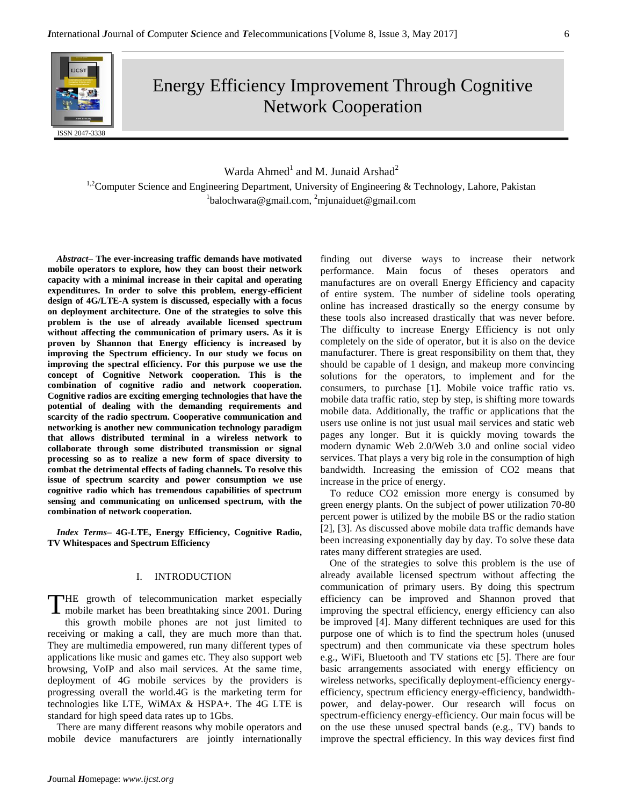

Energy Efficiency Improvement Through Cognitive Network Cooperation

# Warda Ahmed<sup>1</sup> and M. Junaid Arshad<sup>2</sup>

<sup>1,2</sup>Computer Science and Engineering Department, University of Engineering & Technology, Lahore, Pakistan  $1$ balochwara@gmail.com,  $2$ mjunaiduet@gmail.com

*Abstract–* **The ever-increasing traffic demands have motivated mobile operators to explore, how they can boost their network capacity with a minimal increase in their capital and operating expenditures. In order to solve this problem, energy-efficient design of 4G/LTE-A system is discussed, especially with a focus on deployment architecture. One of the strategies to solve this problem is the use of already available licensed spectrum without affecting the communication of primary users. As it is proven by Shannon that Energy efficiency is increased by improving the Spectrum efficiency. In our study we focus on improving the spectral efficiency. For this purpose we use the concept of Cognitive Network cooperation. This is the combination of cognitive radio and network cooperation. Cognitive radios are exciting emerging technologies that have the potential of dealing with the demanding requirements and scarcity of the radio spectrum. Cooperative communication and networking is another new communication technology paradigm that allows distributed terminal in a wireless network to collaborate through some distributed transmission or signal processing so as to realize a new form of space diversity to combat the detrimental effects of fading channels. To resolve this issue of spectrum scarcity and power consumption we use cognitive radio which has tremendous capabilities of spectrum sensing and communicating on unlicensed spectrum, with the combination of network cooperation.**

*Index Terms–* **4G-LTE, Energy Efficiency, Cognitive Radio, TV Whitespaces and Spectrum Efficiency**

# I. INTRODUCTION

THE growth of telecommunication market especially<br>mobile market has been breathtaking since 2001. During mobile market has been breathtaking since 2001. During this growth mobile phones are not just limited to receiving or making a call, they are much more than that. They are multimedia empowered, run many different types of applications like music and games etc. They also support web browsing, VoIP and also mail services. At the same time, deployment of 4G mobile services by the providers is progressing overall the world.4G is the marketing term for technologies like LTE, WiMAx & HSPA+. The 4G LTE is standard for high speed data rates up to 1Gbs.

There are many different reasons why mobile operators and mobile device manufacturers are jointly internationally finding out diverse ways to increase their network performance. Main focus of theses operators and manufactures are on overall Energy Efficiency and capacity of entire system. The number of sideline tools operating online has increased drastically so the energy consume by these tools also increased drastically that was never before. The difficulty to increase Energy Efficiency is not only completely on the side of operator, but it is also on the device manufacturer. There is great responsibility on them that, they should be capable of 1 design, and makeup more convincing solutions for the operators, to implement and for the consumers, to purchase [1]. Mobile voice traffic ratio vs. mobile data traffic ratio, step by step, is shifting more towards mobile data. Additionally, the traffic or applications that the users use online is not just usual mail services and static web pages any longer. But it is quickly moving towards the modern dynamic Web 2.0/Web 3.0 and online social video services. That plays a very big role in the consumption of high bandwidth. Increasing the emission of CO2 means that increase in the price of energy.

To reduce CO2 emission more energy is consumed by green energy plants. On the subject of power utilization 70-80 percent power is utilized by the mobile BS or the radio station [2], [3]. As discussed above mobile data traffic demands have been increasing exponentially day by day. To solve these data rates many different strategies are used.

One of the strategies to solve this problem is the use of already available licensed spectrum without affecting the communication of primary users. By doing this spectrum efficiency can be improved and Shannon proved that improving the spectral efficiency, energy efficiency can also be improved [4]. Many different techniques are used for this purpose one of which is to find the spectrum holes (unused spectrum) and then communicate via these spectrum holes e.g., WiFi, Bluetooth and TV stations etc [5]. There are four basic arrangements associated with energy efficiency on wireless networks, specifically deployment-efficiency energyefficiency, spectrum efficiency energy-efficiency, bandwidthpower, and delay-power. Our research will focus on spectrum-efficiency energy-efficiency. Our main focus will be on the use these unused spectral bands (e.g., TV) bands to improve the spectral efficiency. In this way devices first find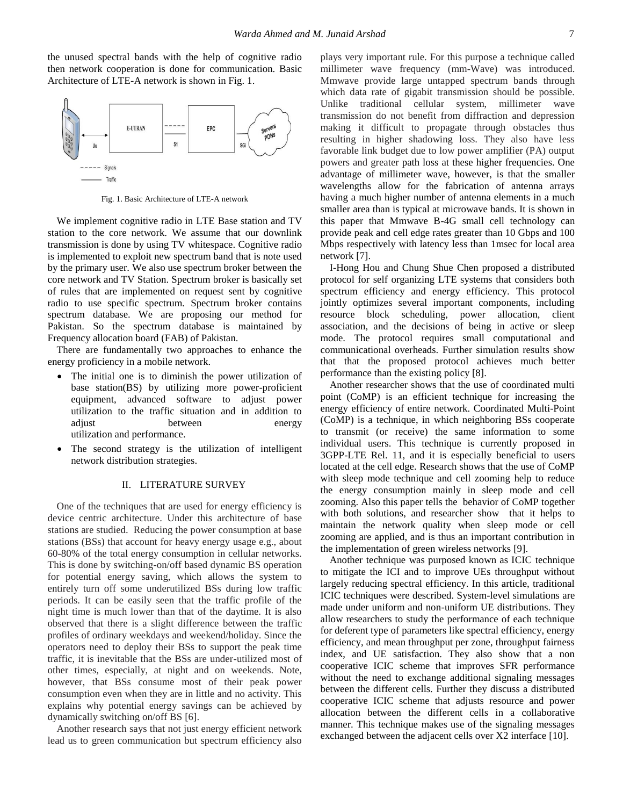the unused spectral bands with the help of cognitive radio then network cooperation is done for communication. Basic Architecture of LTE-A network is shown in Fig. 1.



Fig. 1. Basic Architecture of LTE-A network

We implement cognitive radio in LTE Base station and TV station to the core network. We assume that our downlink transmission is done by using TV whitespace. Cognitive radio is implemented to exploit new spectrum band that is note used by the primary user. We also use spectrum broker between the core network and TV Station. Spectrum broker is basically set of rules that are implemented on request sent by cognitive radio to use specific spectrum. Spectrum broker contains spectrum database. We are proposing our method for Pakistan. So the spectrum database is maintained by Frequency allocation board (FAB) of Pakistan.

There are fundamentally two approaches to enhance the energy proficiency in a mobile network.

- The initial one is to diminish the power utilization of base station(BS) by utilizing more power-proficient equipment, advanced software to adjust power utilization to the traffic situation and in addition to adjust between energy utilization and performance.
- The second strategy is the utilization of intelligent network distribution strategies.

#### II. LITERATURE SURVEY

One of the techniques that are used for energy efficiency is device centric architecture. Under this architecture of base stations are studied. Reducing the power consumption at base stations (BSs) that account for heavy energy usage e.g., about 60-80% of the total energy consumption in cellular networks. This is done by switching-on/off based dynamic BS operation for potential energy saving, which allows the system to entirely turn off some underutilized BSs during low traffic periods. It can be easily seen that the traffic profile of the night time is much lower than that of the daytime. It is also observed that there is a slight difference between the traffic profiles of ordinary weekdays and weekend/holiday. Since the operators need to deploy their BSs to support the peak time traffic, it is inevitable that the BSs are under-utilized most of other times, especially, at night and on weekends. Note, however, that BSs consume most of their peak power consumption even when they are in little and no activity. This explains why potential energy savings can be achieved by dynamically switching on/off BS [6].

Another research says that not just energy efficient network lead us to green communication but spectrum efficiency also plays very important rule. For this purpose a technique called millimeter wave frequency (mm-Wave) was introduced. Mmwave provide large untapped spectrum bands through which data rate of gigabit transmission should be possible. Unlike traditional cellular system, millimeter wave transmission do not benefit from diffraction and depression making it difficult to propagate through obstacles thus resulting in higher shadowing loss. They also have less favorable link budget due to low power amplifier (PA) output powers and greater path loss at these higher frequencies. One advantage of millimeter wave, however, is that the smaller wavelengths allow for the fabrication of antenna arrays having a much higher number of antenna elements in a much smaller area than is typical at microwave bands. It is shown in this paper that Mmwave B-4G small cell technology can provide peak and cell edge rates greater than 10 Gbps and 100 Mbps respectively with latency less than 1msec for local area network [7].

I-Hong Hou and Chung Shue Chen proposed a distributed protocol for self organizing LTE systems that considers both spectrum efficiency and energy efficiency. This protocol jointly optimizes several important components, including resource block scheduling, power allocation, client association, and the decisions of being in active or sleep mode. The protocol requires small computational and communicational overheads. Further simulation results show that that the proposed protocol achieves much better performance than the existing policy [8].

Another researcher shows that the use of coordinated multi point (CoMP) is an efficient technique for increasing the energy efficiency of entire network. Coordinated Multi-Point (CoMP) is a technique, in which neighboring BSs cooperate to transmit (or receive) the same information to some individual users. This technique is currently proposed in 3GPP-LTE Rel. 11, and it is especially beneficial to users located at the cell edge. Research shows that the use of CoMP with sleep mode technique and cell zooming help to reduce the energy consumption mainly in sleep mode and cell zooming. Also this paper tells the behavior of CoMP together with both solutions, and researcher show that it helps to maintain the network quality when sleep mode or cell zooming are applied, and is thus an important contribution in the implementation of green wireless networks [9].

Another technique was purposed known as ICIC technique to mitigate the ICI and to improve UEs throughput without largely reducing spectral efficiency. In this article, traditional ICIC techniques were described. System-level simulations are made under uniform and non-uniform UE distributions. They allow researchers to study the performance of each technique for deferent type of parameters like spectral efficiency, energy efficiency, and mean throughput per zone, throughput fairness index, and UE satisfaction. They also show that a non cooperative ICIC scheme that improves SFR performance without the need to exchange additional signaling messages between the different cells. Further they discuss a distributed cooperative ICIC scheme that adjusts resource and power allocation between the different cells in a collaborative manner. This technique makes use of the signaling messages exchanged between the adjacent cells over X2 interface [10].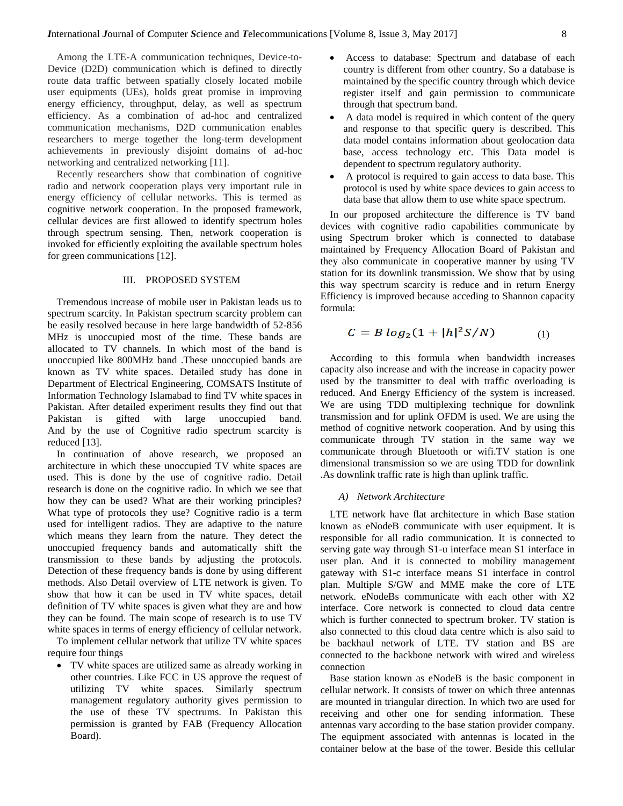Among the LTE-A communication techniques, Device-to-Device (D2D) communication which is defined to directly route data traffic between spatially closely located mobile user equipments (UEs), holds great promise in improving energy efficiency, throughput, delay, as well as spectrum efficiency. As a combination of ad-hoc and centralized communication mechanisms, D2D communication enables researchers to merge together the long-term development achievements in previously disjoint domains of ad-hoc networking and centralized networking [11].

Recently researchers show that combination of cognitive radio and network cooperation plays very important rule in energy efficiency of cellular networks. This is termed as cognitive network cooperation. In the proposed framework, cellular devices are first allowed to identify spectrum holes through spectrum sensing. Then, network cooperation is invoked for efficiently exploiting the available spectrum holes for green communications [12].

# III. PROPOSED SYSTEM

Tremendous increase of mobile user in Pakistan leads us to spectrum scarcity. In Pakistan spectrum scarcity problem can be easily resolved because in here large bandwidth of 52-856 MHz is unoccupied most of the time. These bands are allocated to TV channels. In which most of the band is unoccupied like 800MHz band .These unoccupied bands are known as TV white spaces. Detailed study has done in Department of Electrical Engineering, COMSATS Institute of Information Technology Islamabad to find TV white spaces in Pakistan. After detailed experiment results they find out that Pakistan is gifted with large unoccupied band. And by the use of Cognitive radio spectrum scarcity is reduced [13].

In continuation of above research, we proposed an architecture in which these unoccupied TV white spaces are used. This is done by the use of cognitive radio. Detail research is done on the cognitive radio. In which we see that how they can be used? What are their working principles? What type of protocols they use? Cognitive radio is a term used for intelligent radios. They are adaptive to the nature which means they learn from the nature. They detect the unoccupied frequency bands and automatically shift the transmission to these bands by adjusting the protocols. Detection of these frequency bands is done by using different methods. Also Detail overview of LTE network is given. To show that how it can be used in TV white spaces, detail definition of TV white spaces is given what they are and how they can be found. The main scope of research is to use TV white spaces in terms of energy efficiency of cellular network.

To implement cellular network that utilize TV white spaces require four things

 TV white spaces are utilized same as already working in other countries. Like FCC in US approve the request of utilizing TV white spaces. Similarly spectrum management regulatory authority gives permission to the use of these TV spectrums. In Pakistan this permission is granted by FAB (Frequency Allocation Board).

- Access to database: Spectrum and database of each country is different from other country. So a database is maintained by the specific country through which device register itself and gain permission to communicate through that spectrum band.
- A data model is required in which content of the query and response to that specific query is described. This data model contains information about geolocation data base, access technology etc. This Data model is dependent to spectrum regulatory authority.
- A protocol is required to gain access to data base. This protocol is used by white space devices to gain access to data base that allow them to use white space spectrum.

In our proposed architecture the difference is TV band devices with cognitive radio capabilities communicate by using Spectrum broker which is connected to database maintained by Frequency Allocation Board of Pakistan and they also communicate in cooperative manner by using TV station for its downlink transmission. We show that by using this way spectrum scarcity is reduce and in return Energy Efficiency is improved because acceding to Shannon capacity formula:

$$
C = B \log_2(1 + |h|^2 S/N) \tag{1}
$$

According to this formula when bandwidth increases capacity also increase and with the increase in capacity power used by the transmitter to deal with traffic overloading is reduced. And Energy Efficiency of the system is increased. We are using TDD multiplexing technique for downlink transmission and for uplink OFDM is used. We are using the method of cognitive network cooperation. And by using this communicate through TV station in the same way we communicate through Bluetooth or wifi.TV station is one dimensional transmission so we are using TDD for downlink .As downlink traffic rate is high than uplink traffic.

### *A) Network Architecture*

LTE network have flat architecture in which Base station known as eNodeB communicate with user equipment. It is responsible for all radio communication. It is connected to serving gate way through S1-u interface mean S1 interface in user plan. And it is connected to mobility management gateway with S1-c interface means S1 interface in control plan. Multiple S/GW and MME make the core of LTE network. eNodeBs communicate with each other with X2 interface. Core network is connected to cloud data centre which is further connected to spectrum broker. TV station is also connected to this cloud data centre which is also said to be backhaul network of LTE. TV station and BS are connected to the backbone network with wired and wireless connection

Base station known as eNodeB is the basic component in cellular network. It consists of tower on which three antennas are mounted in triangular direction. In which two are used for receiving and other one for sending information. These antennas vary according to the base station provider company. The equipment associated with antennas is located in the container below at the base of the tower. Beside this cellular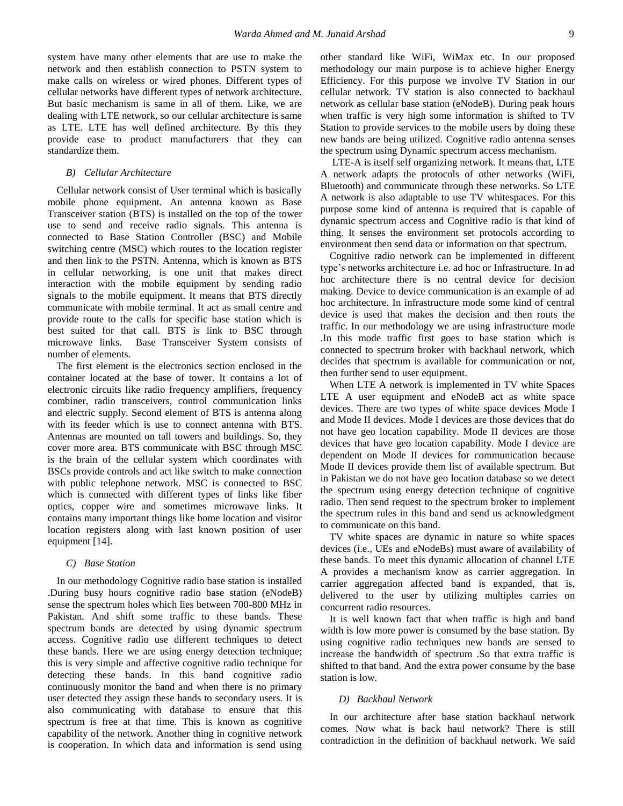system have many other elements that are use to make the network and then establish connection to PSTN system to make calls on wireless or wired phones. Different types of cellular networks have different types of network architecture. But basic mechanism is same in all of them. Like, we are dealing with LTE network, so our cellular architecture is same as LTE. LTE has well defined architecture. By this they provide ease to product manufacturers that they can standardize them.

#### *B) Cellular Architecture*

Cellular network consist of User terminal which is basically mobile phone equipment. An antenna known as Base Transceiver station (BTS) is installed on the top of the tower use to send and receive radio signals. This antenna is connected to Base Station Controller (BSC) and Mobile switching centre (MSC) which routes to the location register and then link to the PSTN. Antenna, which is known as BTS in cellular networking, is one unit that makes direct interaction with the mobile equipment by sending radio signals to the mobile equipment. It means that BTS directly communicate with mobile terminal. It act as small centre and provide route to the calls for specific base station which is best suited for that call. BTS is link to BSC through microwave links. Base Transceiver System consists of number of elements.

The first element is the electronics section enclosed in the container located at the base of tower. It contains a lot of electronic circuits like radio frequency amplifiers, frequency combiner, radio transceivers, control communication links and electric supply. Second element of BTS is antenna along with its feeder which is use to connect antenna with BTS. Antennas are mounted on tall towers and buildings. So, they cover more area. BTS communicate with BSC through MSC is the brain of the cellular system which coordinates with BSCs provide controls and act like switch to make connection with public telephone network. MSC is connected to BSC which is connected with different types of links like fiber optics, copper wire and sometimes microwave links. It contains many important things like home location and visitor location registers along with last known position of user equipment [14].

## *C) Base Station*

In our methodology Cognitive radio base station is installed .During busy hours cognitive radio base station (eNodeB) sense the spectrum holes which lies between 700-800 MHz in Pakistan. And shift some traffic to these bands. These spectrum bands are detected by using dynamic spectrum access. Cognitive radio use different techniques to detect these bands. Here we are using energy detection technique; this is very simple and affective cognitive radio technique for detecting these bands. In this band cognitive radio continuously monitor the band and when there is no primary user detected they assign these bands to secondary users. It is also communicating with database to ensure that this spectrum is free at that time. This is known as cognitive capability of the network. Another thing in cognitive network is cooperation. In which data and information is send using other standard like WiFi, WiMax etc. In our proposed methodology our main purpose is to achieve higher Energy Efficiency. For this purpose we involve TV Station in our cellular network. TV station is also connected to backhaul network as cellular base station (eNodeB). During peak hours when traffic is very high some information is shifted to TV Station to provide services to the mobile users by doing these new bands are being utilized. Cognitive radio antenna senses the spectrum using Dynamic spectrum access mechanism.

LTE-A is itself self organizing network. It means that, LTE A network adapts the protocols of other networks (WiFi, Bluetooth) and communicate through these networks. So LTE A network is also adaptable to use TV whitespaces. For this purpose some kind of antenna is required that is capable of dynamic spectrum access and Cognitive radio is that kind of thing. It senses the environment set protocols according to environment then send data or information on that spectrum.

Cognitive radio network can be implemented in different type's networks architecture i.e. ad hoc or Infrastructure. In ad hoc architecture there is no central device for decision making. Device to device communication is an example of ad hoc architecture. In infrastructure mode some kind of central device is used that makes the decision and then routs the traffic. In our methodology we are using infrastructure mode .In this mode traffic first goes to base station which is connected to spectrum broker with backhaul network, which decides that spectrum is available for communication or not, then further send to user equipment.

When LTE A network is implemented in TV white Spaces LTE A user equipment and eNodeB act as white space devices. There are two types of white space devices Mode I and Mode II devices. Mode I devices are those devices that do not have geo location capability. Mode II devices are those devices that have geo location capability. Mode I device are dependent on Mode II devices for communication because Mode II devices provide them list of available spectrum. But in Pakistan we do not have geo location database so we detect the spectrum using energy detection technique of cognitive radio. Then send request to the spectrum broker to implement the spectrum rules in this band and send us acknowledgment to communicate on this band.

TV white spaces are dynamic in nature so white spaces devices (i.e., UEs and eNodeBs) must aware of availability of these bands. To meet this dynamic allocation of channel LTE A provides a mechanism know as carrier aggregation. In carrier aggregation affected band is expanded, that is, delivered to the user by utilizing multiples carries on concurrent radio resources.

It is well known fact that when traffic is high and band width is low more power is consumed by the base station. By using cognitive radio techniques new bands are sensed to increase the bandwidth of spectrum .So that extra traffic is shifted to that band. And the extra power consume by the base station is low.

## *D) Backhaul Network*

In our architecture after base station backhaul network comes. Now what is back haul network? There is still contradiction in the definition of backhaul network. We said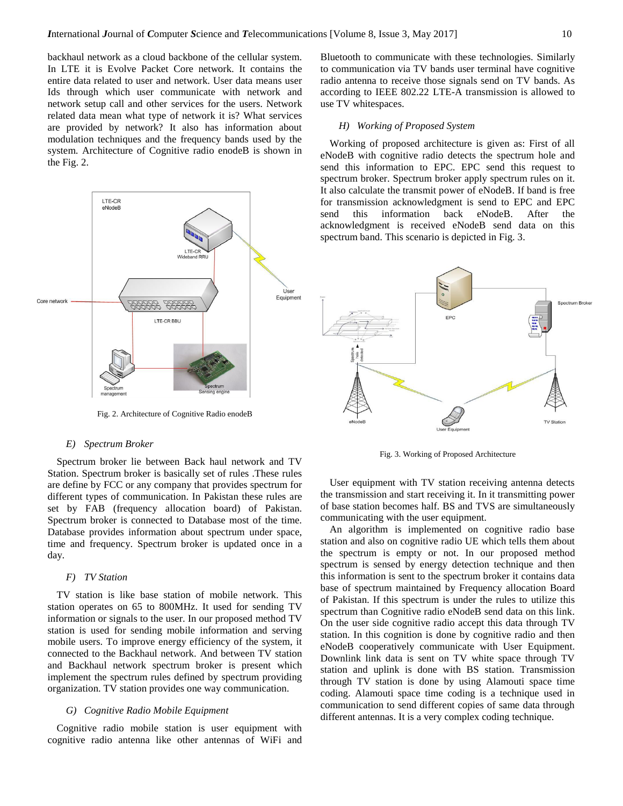backhaul network as a cloud backbone of the cellular system. In LTE it is Evolve Packet Core network. It contains the entire data related to user and network. User data means user Ids through which user communicate with network and network setup call and other services for the users. Network related data mean what type of network it is? What services are provided by network? It also has information about modulation techniques and the frequency bands used by the system. Architecture of Cognitive radio enodeB is shown in the Fig. 2.



Fig. 2. Architecture of Cognitive Radio enodeB

#### *E) Spectrum Broker*

Spectrum broker lie between Back haul network and TV Station. Spectrum broker is basically set of rules .These rules are define by FCC or any company that provides spectrum for different types of communication. In Pakistan these rules are set by FAB (frequency allocation board) of Pakistan. Spectrum broker is connected to Database most of the time. Database provides information about spectrum under space, time and frequency. Spectrum broker is updated once in a day.

### *F) TV Station*

TV station is like base station of mobile network. This station operates on 65 to 800MHz. It used for sending TV information or signals to the user. In our proposed method TV station is used for sending mobile information and serving mobile users. To improve energy efficiency of the system, it connected to the Backhaul network. And between TV station and Backhaul network spectrum broker is present which implement the spectrum rules defined by spectrum providing organization. TV station provides one way communication.

# *G) Cognitive Radio Mobile Equipment*

Cognitive radio mobile station is user equipment with cognitive radio antenna like other antennas of WiFi and Bluetooth to communicate with these technologies. Similarly to communication via TV bands user terminal have cognitive radio antenna to receive those signals send on TV bands. As according to IEEE 802.22 LTE-A transmission is allowed to use TV whitespaces.

### *H) Working of Proposed System*

Working of proposed architecture is given as: First of all eNodeB with cognitive radio detects the spectrum hole and send this information to EPC. EPC send this request to spectrum broker. Spectrum broker apply spectrum rules on it. It also calculate the transmit power of eNodeB. If band is free for transmission acknowledgment is send to EPC and EPC send this information back eNodeB. After the acknowledgment is received eNodeB send data on this spectrum band. This scenario is depicted in Fig. 3.



Fig. 3. Working of Proposed Architecture

User equipment with TV station receiving antenna detects the transmission and start receiving it. In it transmitting power of base station becomes half. BS and TVS are simultaneously communicating with the user equipment.

An algorithm is implemented on cognitive radio base station and also on cognitive radio UE which tells them about the spectrum is empty or not. In our proposed method spectrum is sensed by energy detection technique and then this information is sent to the spectrum broker it contains data base of spectrum maintained by Frequency allocation Board of Pakistan. If this spectrum is under the rules to utilize this spectrum than Cognitive radio eNodeB send data on this link. On the user side cognitive radio accept this data through TV station. In this cognition is done by cognitive radio and then eNodeB cooperatively communicate with User Equipment. Downlink link data is sent on TV white space through TV station and uplink is done with BS station. Transmission through TV station is done by using Alamouti space time coding. Alamouti space time coding is a technique used in communication to send different copies of same data through different antennas. It is a very complex coding technique.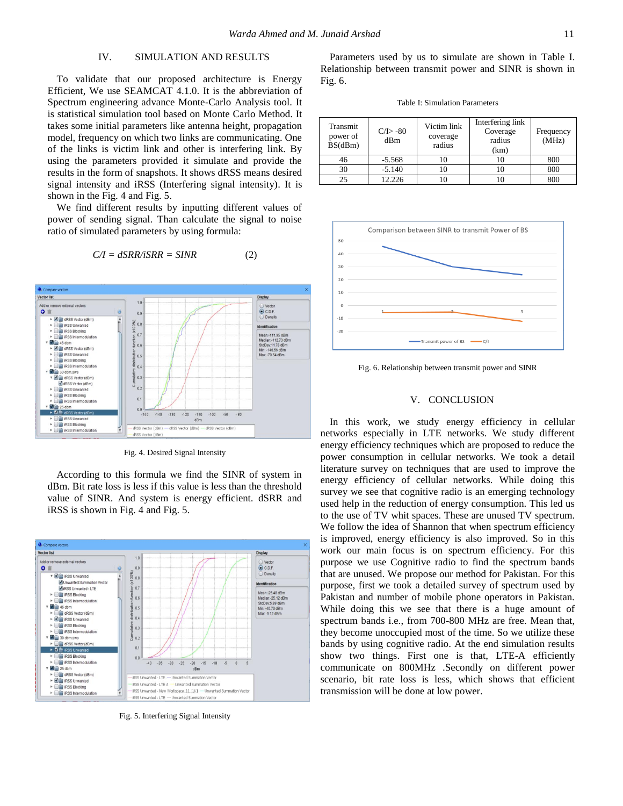**Display** 

# IV. SIMULATION AND RESULTS

To validate that our proposed architecture is Energy Efficient, We use SEAMCAT 4.1.0. It is the abbreviation of Spectrum engineering advance Monte-Carlo Analysis tool. It is statistical simulation tool based on Monte Carlo Method. It takes some initial parameters like antenna height, propagation model, frequency on which two links are communicating. One of the links is victim link and other is interfering link. By using the parameters provided it simulate and provide the results in the form of snapshots. It shows dRSS means desired signal intensity and iRSS (Interfering signal intensity). It is shown in the Fig. 4 and Fig. 5.

We find different results by inputting different values of power of sending signal. Than calculate the signal to noise ratio of simulated parameters by using formula:

$$
C/I = dSRR/iSRR = SINR \tag{2}
$$

 $1.0$ 

 $0.9$ 

**A** Compare

**Vector list** 

 $\bullet$   $\blacksquare$ 

Add or remove external vectors



Fig. 4. Desired Signal Intensity

According to this formula we find the SINR of system in dBm. Bit rate loss is less if this value is less than the threshold value of SINR. And system is energy efficient. dSRR and iRSS is shown in Fig. 4 and Fig. 5.



Fig. 5. Interfering Signal Intensity

Parameters used by us to simulate are shown in Table I. Relationship between transmit power and SINR is shown in Fig. 6.

Table I: Simulation Parameters

| Transmit<br>power of<br>BS(dBm) | $C/D - 80$<br>dBm | Victim link<br>coverage<br>radius | Interfering link<br>Coverage<br>radius<br>(km) | Frequency<br>(MHz) |
|---------------------------------|-------------------|-----------------------------------|------------------------------------------------|--------------------|
| 46                              | $-5.568$          | 10                                |                                                | 800                |
| 30                              | $-5.140$          | l O                               |                                                | 800                |
| 2.5                             | 12.226            |                                   |                                                | 800                |



Fig. 6. Relationship between transmit power and SINR

#### V. CONCLUSION

In this work, we study energy efficiency in cellular networks especially in LTE networks. We study different energy efficiency techniques which are proposed to reduce the power consumption in cellular networks. We took a detail literature survey on techniques that are used to improve the energy efficiency of cellular networks. While doing this survey we see that cognitive radio is an emerging technology used help in the reduction of energy consumption. This led us to the use of TV whit spaces. These are unused TV spectrum. We follow the idea of Shannon that when spectrum efficiency is improved, energy efficiency is also improved. So in this work our main focus is on spectrum efficiency. For this purpose we use Cognitive radio to find the spectrum bands that are unused. We propose our method for Pakistan. For this purpose, first we took a detailed survey of spectrum used by Pakistan and number of mobile phone operators in Pakistan. While doing this we see that there is a huge amount of spectrum bands i.e., from 700-800 MHz are free. Mean that, they become unoccupied most of the time. So we utilize these bands by using cognitive radio. At the end simulation results show two things. First one is that, LTE-A efficiently communicate on 800MHz .Secondly on different power scenario, bit rate loss is less, which shows that efficient transmission will be done at low power.